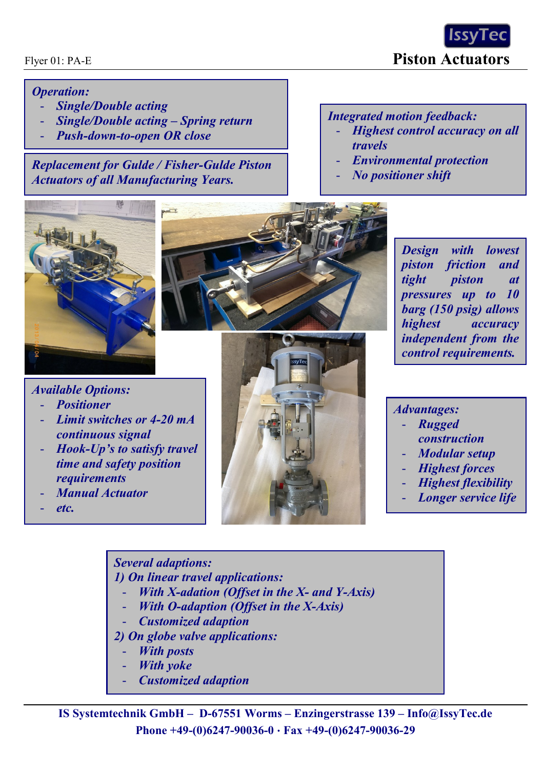Flyer 01: PA-E **Piston Actuators**

## *Operation:*

- *Single/Double acting*
- *Single/Double acting – Spring return*
- *Push-down-to-open OR close*

*Replacement for Gulde / Fisher-Gulde Piston Actuators of all Manufacturing Years.*

## *Integrated motion feedback:*

- *Highest control accuracy on all travels*
- *Environmental protection*
- *No positioner shift*





*Design with lowest piston friction and tight piston at pressures up to 10 barg (150 psig) allows highest accuracy independent from the control requirements.*

## *Available Options:*

- *Positioner*
- *Limit switches or 4-20 mA continuous signal*
- *Hook-Up's to satisfy travel time and safety position requirements*
- *Manual Actuator*
- *etc.*



*Advantages:*

- *Rugged construction*
- *Modular setup*
- *Highest forces*
- *Highest flexibility*
- *Longer service life*

*Several adaptions: 1) On linear travel applications:*

- *With X-adation (Offset in the X- and Y-Axis)*
- *With O-adaption (Offset in the X-Axis)*
- *Customized adaption*
- *2) On globe valve applications:*
	- **With posts**
	- **With yoke**
	- *Customized adaption*

**IS Systemtechnik GmbH – D-67551 Worms – Enzingerstrasse 139 – [Info@IssyTec.de](mailto:Info@IssyTec.de) Phone +49-(0)6247-90036-0 Fax +49-(0)6247-90036-29**